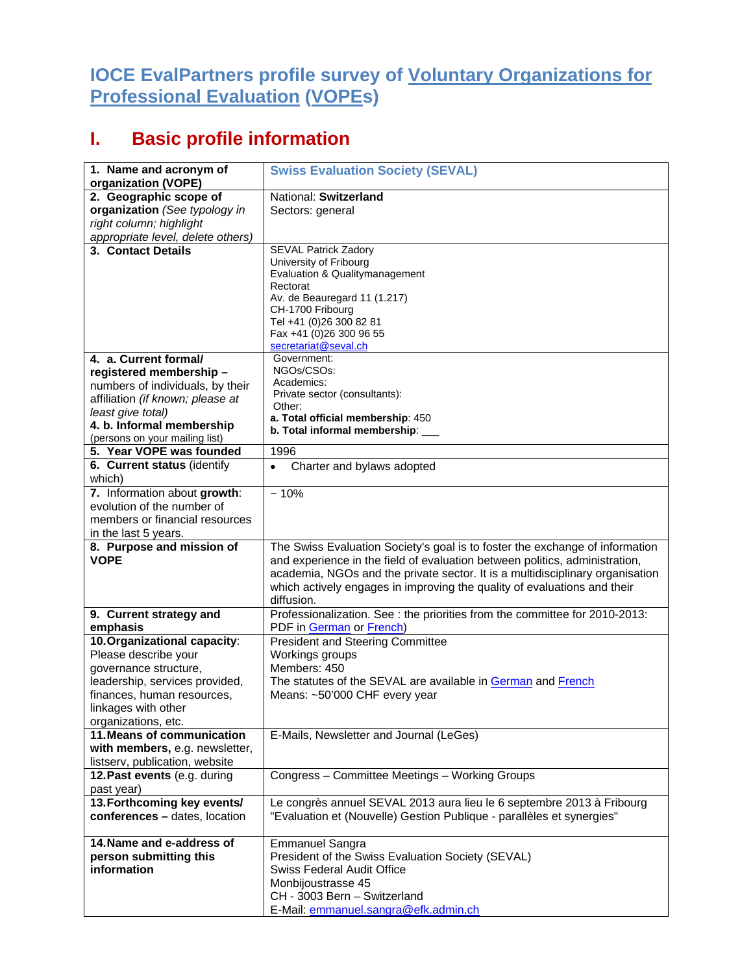## **IOCE EvalPartners profile survey of Voluntary Organizations for Professional Evaluation (VOPEs)**

## **I. Basic profile information**

| 1. Name and acronym of                                  | <b>Swiss Evaluation Society (SEVAL)</b>                                                                                                                     |
|---------------------------------------------------------|-------------------------------------------------------------------------------------------------------------------------------------------------------------|
| organization (VOPE)                                     |                                                                                                                                                             |
| 2. Geographic scope of                                  | National: Switzerland                                                                                                                                       |
| organization (See typology in                           | Sectors: general                                                                                                                                            |
| right column; highlight                                 |                                                                                                                                                             |
| appropriate level, delete others)<br>3. Contact Details |                                                                                                                                                             |
|                                                         | <b>SEVAL Patrick Zadory</b><br>University of Fribourg                                                                                                       |
|                                                         | Evaluation & Qualitymanagement                                                                                                                              |
|                                                         | Rectorat                                                                                                                                                    |
|                                                         | Av. de Beauregard 11 (1.217)                                                                                                                                |
|                                                         | CH-1700 Fribourg                                                                                                                                            |
|                                                         | Tel +41 (0)26 300 82 81<br>Fax +41 (0)26 300 96 55                                                                                                          |
|                                                         | secretariat@seval.ch                                                                                                                                        |
| 4. a. Current formal/                                   | Government:                                                                                                                                                 |
| registered membership -                                 | NGOs/CSOs:                                                                                                                                                  |
| numbers of individuals, by their                        | Academics:                                                                                                                                                  |
| affiliation (if known; please at                        | Private sector (consultants):                                                                                                                               |
| least give total)                                       | Other:<br>a. Total official membership: 450                                                                                                                 |
| 4. b. Informal membership                               | b. Total informal membership: ___                                                                                                                           |
| (persons on your mailing list)                          |                                                                                                                                                             |
| 5. Year VOPE was founded                                | 1996                                                                                                                                                        |
| 6. Current status (identify<br>which)                   | Charter and bylaws adopted<br>$\bullet$                                                                                                                     |
| 7. Information about growth:                            | $~10\%$                                                                                                                                                     |
| evolution of the number of                              |                                                                                                                                                             |
| members or financial resources                          |                                                                                                                                                             |
| in the last 5 years.                                    |                                                                                                                                                             |
|                                                         |                                                                                                                                                             |
|                                                         |                                                                                                                                                             |
| 8. Purpose and mission of<br><b>VOPE</b>                | The Swiss Evaluation Society's goal is to foster the exchange of information<br>and experience in the field of evaluation between politics, administration, |
|                                                         | academia, NGOs and the private sector. It is a multidisciplinary organisation                                                                               |
|                                                         | which actively engages in improving the quality of evaluations and their                                                                                    |
|                                                         | diffusion.                                                                                                                                                  |
| 9. Current strategy and                                 | Professionalization. See : the priorities from the committee for 2010-2013:                                                                                 |
| emphasis                                                | PDF in German or French)                                                                                                                                    |
| 10. Organizational capacity:                            | <b>President and Steering Committee</b>                                                                                                                     |
| Please describe your                                    | Workings groups                                                                                                                                             |
| governance structure,                                   | Members: 450                                                                                                                                                |
| leadership, services provided,                          | The statutes of the SEVAL are available in German and French                                                                                                |
| finances, human resources,                              | Means: ~50'000 CHF every year                                                                                                                               |
| linkages with other                                     |                                                                                                                                                             |
| organizations, etc.<br>11. Means of communication       | E-Mails, Newsletter and Journal (LeGes)                                                                                                                     |
| with members, e.g. newsletter,                          |                                                                                                                                                             |
| listserv, publication, website                          |                                                                                                                                                             |
| 12. Past events (e.g. during                            | Congress - Committee Meetings - Working Groups                                                                                                              |
| past year)                                              |                                                                                                                                                             |
| 13. Forthcoming key events/                             | Le congrès annuel SEVAL 2013 aura lieu le 6 septembre 2013 à Fribourg                                                                                       |
| conferences - dates, location                           | "Evaluation et (Nouvelle) Gestion Publique - parallèles et synergies"                                                                                       |
|                                                         |                                                                                                                                                             |
| 14. Name and e-address of                               | <b>Emmanuel Sangra</b>                                                                                                                                      |
| person submitting this<br>information                   | President of the Swiss Evaluation Society (SEVAL)                                                                                                           |
|                                                         | Swiss Federal Audit Office                                                                                                                                  |
|                                                         | Monbijoustrasse 45<br>CH - 3003 Bern - Switzerland                                                                                                          |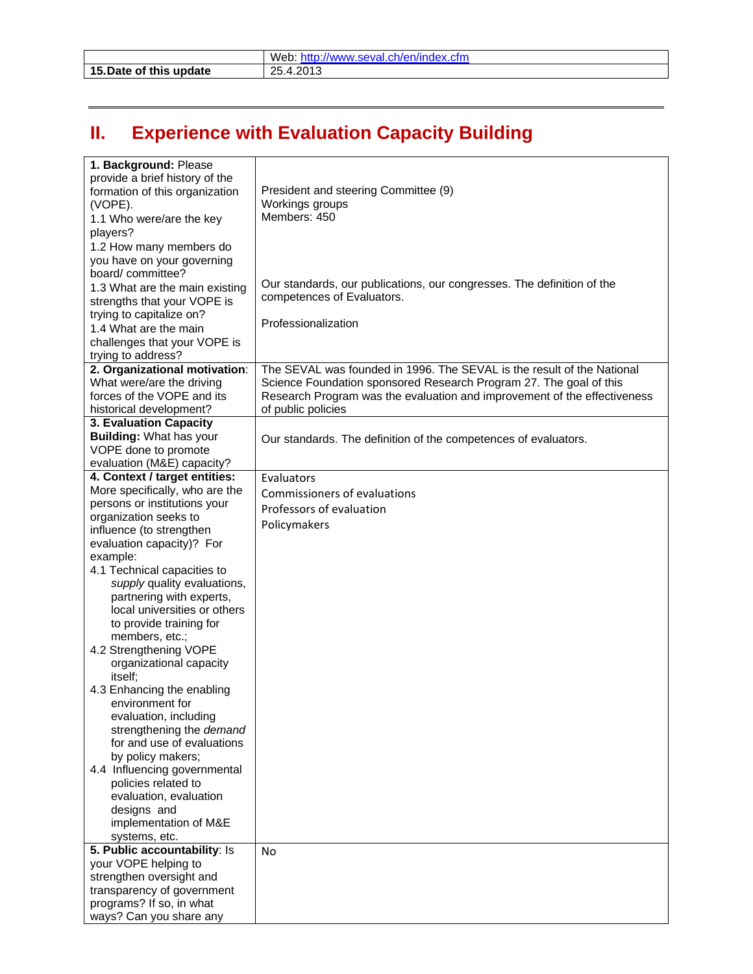|                         | Web: http://www.seval.ch/en/index.cfm |
|-------------------------|---------------------------------------|
| 15. Date of this update | 25.4.2013                             |

## **II. Experience with Evaluation Capacity Building**

| Workings groups<br>(VOPE).<br>Members: 450<br>1.1 Who were/are the key<br>players?<br>1.2 How many members do<br>you have on your governing<br>board/committee?<br>Our standards, our publications, our congresses. The definition of the<br>1.3 What are the main existing<br>competences of Evaluators.<br>strengths that your VOPE is<br>trying to capitalize on?<br>Professionalization<br>1.4 What are the main<br>challenges that your VOPE is<br>trying to address?<br>The SEVAL was founded in 1996. The SEVAL is the result of the National<br>2. Organizational motivation:<br>What were/are the driving<br>Science Foundation sponsored Research Program 27. The goal of this<br>forces of the VOPE and its<br>Research Program was the evaluation and improvement of the effectiveness<br>of public policies<br>historical development?<br>3. Evaluation Capacity<br><b>Building: What has your</b><br>Our standards. The definition of the competences of evaluators.<br>VOPE done to promote<br>evaluation (M&E) capacity?<br>4. Context / target entities:<br>Evaluators<br>More specifically, who are the<br>Commissioners of evaluations<br>persons or institutions your<br>Professors of evaluation<br>organization seeks to<br>Policymakers<br>influence (to strengthen<br>evaluation capacity)? For<br>example:<br>4.1 Technical capacities to<br>supply quality evaluations,<br>partnering with experts,<br>local universities or others<br>to provide training for<br>members, etc.;<br>4.2 Strengthening VOPE<br>organizational capacity<br>itself;<br>4.3 Enhancing the enabling<br>environment for<br>evaluation, including<br>strengthening the demand<br>for and use of evaluations<br>by policy makers;<br>4.4 Influencing governmental<br>policies related to<br>evaluation, evaluation<br>designs and<br>implementation of M&E<br>systems, etc.<br>5. Public accountability: Is<br><b>No</b><br>your VOPE helping to<br>strengthen oversight and<br>transparency of government<br>programs? If so, in what | 1. Background: Please<br>provide a brief history of the<br>formation of this organization | President and steering Committee (9) |
|------------------------------------------------------------------------------------------------------------------------------------------------------------------------------------------------------------------------------------------------------------------------------------------------------------------------------------------------------------------------------------------------------------------------------------------------------------------------------------------------------------------------------------------------------------------------------------------------------------------------------------------------------------------------------------------------------------------------------------------------------------------------------------------------------------------------------------------------------------------------------------------------------------------------------------------------------------------------------------------------------------------------------------------------------------------------------------------------------------------------------------------------------------------------------------------------------------------------------------------------------------------------------------------------------------------------------------------------------------------------------------------------------------------------------------------------------------------------------------------------------------------------------------------------------------------------------------------------------------------------------------------------------------------------------------------------------------------------------------------------------------------------------------------------------------------------------------------------------------------------------------------------------------------------------------------------------------------------------------------------------------------------------------------|-------------------------------------------------------------------------------------------|--------------------------------------|
|                                                                                                                                                                                                                                                                                                                                                                                                                                                                                                                                                                                                                                                                                                                                                                                                                                                                                                                                                                                                                                                                                                                                                                                                                                                                                                                                                                                                                                                                                                                                                                                                                                                                                                                                                                                                                                                                                                                                                                                                                                          |                                                                                           |                                      |
|                                                                                                                                                                                                                                                                                                                                                                                                                                                                                                                                                                                                                                                                                                                                                                                                                                                                                                                                                                                                                                                                                                                                                                                                                                                                                                                                                                                                                                                                                                                                                                                                                                                                                                                                                                                                                                                                                                                                                                                                                                          |                                                                                           |                                      |
|                                                                                                                                                                                                                                                                                                                                                                                                                                                                                                                                                                                                                                                                                                                                                                                                                                                                                                                                                                                                                                                                                                                                                                                                                                                                                                                                                                                                                                                                                                                                                                                                                                                                                                                                                                                                                                                                                                                                                                                                                                          |                                                                                           |                                      |
|                                                                                                                                                                                                                                                                                                                                                                                                                                                                                                                                                                                                                                                                                                                                                                                                                                                                                                                                                                                                                                                                                                                                                                                                                                                                                                                                                                                                                                                                                                                                                                                                                                                                                                                                                                                                                                                                                                                                                                                                                                          |                                                                                           |                                      |
|                                                                                                                                                                                                                                                                                                                                                                                                                                                                                                                                                                                                                                                                                                                                                                                                                                                                                                                                                                                                                                                                                                                                                                                                                                                                                                                                                                                                                                                                                                                                                                                                                                                                                                                                                                                                                                                                                                                                                                                                                                          |                                                                                           |                                      |
|                                                                                                                                                                                                                                                                                                                                                                                                                                                                                                                                                                                                                                                                                                                                                                                                                                                                                                                                                                                                                                                                                                                                                                                                                                                                                                                                                                                                                                                                                                                                                                                                                                                                                                                                                                                                                                                                                                                                                                                                                                          |                                                                                           |                                      |
|                                                                                                                                                                                                                                                                                                                                                                                                                                                                                                                                                                                                                                                                                                                                                                                                                                                                                                                                                                                                                                                                                                                                                                                                                                                                                                                                                                                                                                                                                                                                                                                                                                                                                                                                                                                                                                                                                                                                                                                                                                          |                                                                                           |                                      |
|                                                                                                                                                                                                                                                                                                                                                                                                                                                                                                                                                                                                                                                                                                                                                                                                                                                                                                                                                                                                                                                                                                                                                                                                                                                                                                                                                                                                                                                                                                                                                                                                                                                                                                                                                                                                                                                                                                                                                                                                                                          |                                                                                           |                                      |
|                                                                                                                                                                                                                                                                                                                                                                                                                                                                                                                                                                                                                                                                                                                                                                                                                                                                                                                                                                                                                                                                                                                                                                                                                                                                                                                                                                                                                                                                                                                                                                                                                                                                                                                                                                                                                                                                                                                                                                                                                                          |                                                                                           |                                      |
|                                                                                                                                                                                                                                                                                                                                                                                                                                                                                                                                                                                                                                                                                                                                                                                                                                                                                                                                                                                                                                                                                                                                                                                                                                                                                                                                                                                                                                                                                                                                                                                                                                                                                                                                                                                                                                                                                                                                                                                                                                          |                                                                                           |                                      |
|                                                                                                                                                                                                                                                                                                                                                                                                                                                                                                                                                                                                                                                                                                                                                                                                                                                                                                                                                                                                                                                                                                                                                                                                                                                                                                                                                                                                                                                                                                                                                                                                                                                                                                                                                                                                                                                                                                                                                                                                                                          |                                                                                           |                                      |
|                                                                                                                                                                                                                                                                                                                                                                                                                                                                                                                                                                                                                                                                                                                                                                                                                                                                                                                                                                                                                                                                                                                                                                                                                                                                                                                                                                                                                                                                                                                                                                                                                                                                                                                                                                                                                                                                                                                                                                                                                                          |                                                                                           |                                      |
|                                                                                                                                                                                                                                                                                                                                                                                                                                                                                                                                                                                                                                                                                                                                                                                                                                                                                                                                                                                                                                                                                                                                                                                                                                                                                                                                                                                                                                                                                                                                                                                                                                                                                                                                                                                                                                                                                                                                                                                                                                          |                                                                                           |                                      |
|                                                                                                                                                                                                                                                                                                                                                                                                                                                                                                                                                                                                                                                                                                                                                                                                                                                                                                                                                                                                                                                                                                                                                                                                                                                                                                                                                                                                                                                                                                                                                                                                                                                                                                                                                                                                                                                                                                                                                                                                                                          |                                                                                           |                                      |
|                                                                                                                                                                                                                                                                                                                                                                                                                                                                                                                                                                                                                                                                                                                                                                                                                                                                                                                                                                                                                                                                                                                                                                                                                                                                                                                                                                                                                                                                                                                                                                                                                                                                                                                                                                                                                                                                                                                                                                                                                                          |                                                                                           |                                      |
|                                                                                                                                                                                                                                                                                                                                                                                                                                                                                                                                                                                                                                                                                                                                                                                                                                                                                                                                                                                                                                                                                                                                                                                                                                                                                                                                                                                                                                                                                                                                                                                                                                                                                                                                                                                                                                                                                                                                                                                                                                          |                                                                                           |                                      |
|                                                                                                                                                                                                                                                                                                                                                                                                                                                                                                                                                                                                                                                                                                                                                                                                                                                                                                                                                                                                                                                                                                                                                                                                                                                                                                                                                                                                                                                                                                                                                                                                                                                                                                                                                                                                                                                                                                                                                                                                                                          |                                                                                           |                                      |
|                                                                                                                                                                                                                                                                                                                                                                                                                                                                                                                                                                                                                                                                                                                                                                                                                                                                                                                                                                                                                                                                                                                                                                                                                                                                                                                                                                                                                                                                                                                                                                                                                                                                                                                                                                                                                                                                                                                                                                                                                                          |                                                                                           |                                      |
|                                                                                                                                                                                                                                                                                                                                                                                                                                                                                                                                                                                                                                                                                                                                                                                                                                                                                                                                                                                                                                                                                                                                                                                                                                                                                                                                                                                                                                                                                                                                                                                                                                                                                                                                                                                                                                                                                                                                                                                                                                          |                                                                                           |                                      |
|                                                                                                                                                                                                                                                                                                                                                                                                                                                                                                                                                                                                                                                                                                                                                                                                                                                                                                                                                                                                                                                                                                                                                                                                                                                                                                                                                                                                                                                                                                                                                                                                                                                                                                                                                                                                                                                                                                                                                                                                                                          |                                                                                           |                                      |
|                                                                                                                                                                                                                                                                                                                                                                                                                                                                                                                                                                                                                                                                                                                                                                                                                                                                                                                                                                                                                                                                                                                                                                                                                                                                                                                                                                                                                                                                                                                                                                                                                                                                                                                                                                                                                                                                                                                                                                                                                                          |                                                                                           |                                      |
|                                                                                                                                                                                                                                                                                                                                                                                                                                                                                                                                                                                                                                                                                                                                                                                                                                                                                                                                                                                                                                                                                                                                                                                                                                                                                                                                                                                                                                                                                                                                                                                                                                                                                                                                                                                                                                                                                                                                                                                                                                          |                                                                                           |                                      |
|                                                                                                                                                                                                                                                                                                                                                                                                                                                                                                                                                                                                                                                                                                                                                                                                                                                                                                                                                                                                                                                                                                                                                                                                                                                                                                                                                                                                                                                                                                                                                                                                                                                                                                                                                                                                                                                                                                                                                                                                                                          |                                                                                           |                                      |
|                                                                                                                                                                                                                                                                                                                                                                                                                                                                                                                                                                                                                                                                                                                                                                                                                                                                                                                                                                                                                                                                                                                                                                                                                                                                                                                                                                                                                                                                                                                                                                                                                                                                                                                                                                                                                                                                                                                                                                                                                                          |                                                                                           |                                      |
|                                                                                                                                                                                                                                                                                                                                                                                                                                                                                                                                                                                                                                                                                                                                                                                                                                                                                                                                                                                                                                                                                                                                                                                                                                                                                                                                                                                                                                                                                                                                                                                                                                                                                                                                                                                                                                                                                                                                                                                                                                          |                                                                                           |                                      |
|                                                                                                                                                                                                                                                                                                                                                                                                                                                                                                                                                                                                                                                                                                                                                                                                                                                                                                                                                                                                                                                                                                                                                                                                                                                                                                                                                                                                                                                                                                                                                                                                                                                                                                                                                                                                                                                                                                                                                                                                                                          |                                                                                           |                                      |
|                                                                                                                                                                                                                                                                                                                                                                                                                                                                                                                                                                                                                                                                                                                                                                                                                                                                                                                                                                                                                                                                                                                                                                                                                                                                                                                                                                                                                                                                                                                                                                                                                                                                                                                                                                                                                                                                                                                                                                                                                                          |                                                                                           |                                      |
|                                                                                                                                                                                                                                                                                                                                                                                                                                                                                                                                                                                                                                                                                                                                                                                                                                                                                                                                                                                                                                                                                                                                                                                                                                                                                                                                                                                                                                                                                                                                                                                                                                                                                                                                                                                                                                                                                                                                                                                                                                          |                                                                                           |                                      |
|                                                                                                                                                                                                                                                                                                                                                                                                                                                                                                                                                                                                                                                                                                                                                                                                                                                                                                                                                                                                                                                                                                                                                                                                                                                                                                                                                                                                                                                                                                                                                                                                                                                                                                                                                                                                                                                                                                                                                                                                                                          |                                                                                           |                                      |
|                                                                                                                                                                                                                                                                                                                                                                                                                                                                                                                                                                                                                                                                                                                                                                                                                                                                                                                                                                                                                                                                                                                                                                                                                                                                                                                                                                                                                                                                                                                                                                                                                                                                                                                                                                                                                                                                                                                                                                                                                                          |                                                                                           |                                      |
|                                                                                                                                                                                                                                                                                                                                                                                                                                                                                                                                                                                                                                                                                                                                                                                                                                                                                                                                                                                                                                                                                                                                                                                                                                                                                                                                                                                                                                                                                                                                                                                                                                                                                                                                                                                                                                                                                                                                                                                                                                          |                                                                                           |                                      |
|                                                                                                                                                                                                                                                                                                                                                                                                                                                                                                                                                                                                                                                                                                                                                                                                                                                                                                                                                                                                                                                                                                                                                                                                                                                                                                                                                                                                                                                                                                                                                                                                                                                                                                                                                                                                                                                                                                                                                                                                                                          |                                                                                           |                                      |
|                                                                                                                                                                                                                                                                                                                                                                                                                                                                                                                                                                                                                                                                                                                                                                                                                                                                                                                                                                                                                                                                                                                                                                                                                                                                                                                                                                                                                                                                                                                                                                                                                                                                                                                                                                                                                                                                                                                                                                                                                                          |                                                                                           |                                      |
|                                                                                                                                                                                                                                                                                                                                                                                                                                                                                                                                                                                                                                                                                                                                                                                                                                                                                                                                                                                                                                                                                                                                                                                                                                                                                                                                                                                                                                                                                                                                                                                                                                                                                                                                                                                                                                                                                                                                                                                                                                          |                                                                                           |                                      |
|                                                                                                                                                                                                                                                                                                                                                                                                                                                                                                                                                                                                                                                                                                                                                                                                                                                                                                                                                                                                                                                                                                                                                                                                                                                                                                                                                                                                                                                                                                                                                                                                                                                                                                                                                                                                                                                                                                                                                                                                                                          |                                                                                           |                                      |
|                                                                                                                                                                                                                                                                                                                                                                                                                                                                                                                                                                                                                                                                                                                                                                                                                                                                                                                                                                                                                                                                                                                                                                                                                                                                                                                                                                                                                                                                                                                                                                                                                                                                                                                                                                                                                                                                                                                                                                                                                                          |                                                                                           |                                      |
|                                                                                                                                                                                                                                                                                                                                                                                                                                                                                                                                                                                                                                                                                                                                                                                                                                                                                                                                                                                                                                                                                                                                                                                                                                                                                                                                                                                                                                                                                                                                                                                                                                                                                                                                                                                                                                                                                                                                                                                                                                          |                                                                                           |                                      |
|                                                                                                                                                                                                                                                                                                                                                                                                                                                                                                                                                                                                                                                                                                                                                                                                                                                                                                                                                                                                                                                                                                                                                                                                                                                                                                                                                                                                                                                                                                                                                                                                                                                                                                                                                                                                                                                                                                                                                                                                                                          |                                                                                           |                                      |
|                                                                                                                                                                                                                                                                                                                                                                                                                                                                                                                                                                                                                                                                                                                                                                                                                                                                                                                                                                                                                                                                                                                                                                                                                                                                                                                                                                                                                                                                                                                                                                                                                                                                                                                                                                                                                                                                                                                                                                                                                                          |                                                                                           |                                      |
|                                                                                                                                                                                                                                                                                                                                                                                                                                                                                                                                                                                                                                                                                                                                                                                                                                                                                                                                                                                                                                                                                                                                                                                                                                                                                                                                                                                                                                                                                                                                                                                                                                                                                                                                                                                                                                                                                                                                                                                                                                          |                                                                                           |                                      |
|                                                                                                                                                                                                                                                                                                                                                                                                                                                                                                                                                                                                                                                                                                                                                                                                                                                                                                                                                                                                                                                                                                                                                                                                                                                                                                                                                                                                                                                                                                                                                                                                                                                                                                                                                                                                                                                                                                                                                                                                                                          |                                                                                           |                                      |
|                                                                                                                                                                                                                                                                                                                                                                                                                                                                                                                                                                                                                                                                                                                                                                                                                                                                                                                                                                                                                                                                                                                                                                                                                                                                                                                                                                                                                                                                                                                                                                                                                                                                                                                                                                                                                                                                                                                                                                                                                                          |                                                                                           |                                      |
|                                                                                                                                                                                                                                                                                                                                                                                                                                                                                                                                                                                                                                                                                                                                                                                                                                                                                                                                                                                                                                                                                                                                                                                                                                                                                                                                                                                                                                                                                                                                                                                                                                                                                                                                                                                                                                                                                                                                                                                                                                          |                                                                                           |                                      |
|                                                                                                                                                                                                                                                                                                                                                                                                                                                                                                                                                                                                                                                                                                                                                                                                                                                                                                                                                                                                                                                                                                                                                                                                                                                                                                                                                                                                                                                                                                                                                                                                                                                                                                                                                                                                                                                                                                                                                                                                                                          |                                                                                           |                                      |
|                                                                                                                                                                                                                                                                                                                                                                                                                                                                                                                                                                                                                                                                                                                                                                                                                                                                                                                                                                                                                                                                                                                                                                                                                                                                                                                                                                                                                                                                                                                                                                                                                                                                                                                                                                                                                                                                                                                                                                                                                                          |                                                                                           |                                      |
|                                                                                                                                                                                                                                                                                                                                                                                                                                                                                                                                                                                                                                                                                                                                                                                                                                                                                                                                                                                                                                                                                                                                                                                                                                                                                                                                                                                                                                                                                                                                                                                                                                                                                                                                                                                                                                                                                                                                                                                                                                          | ways? Can you share any                                                                   |                                      |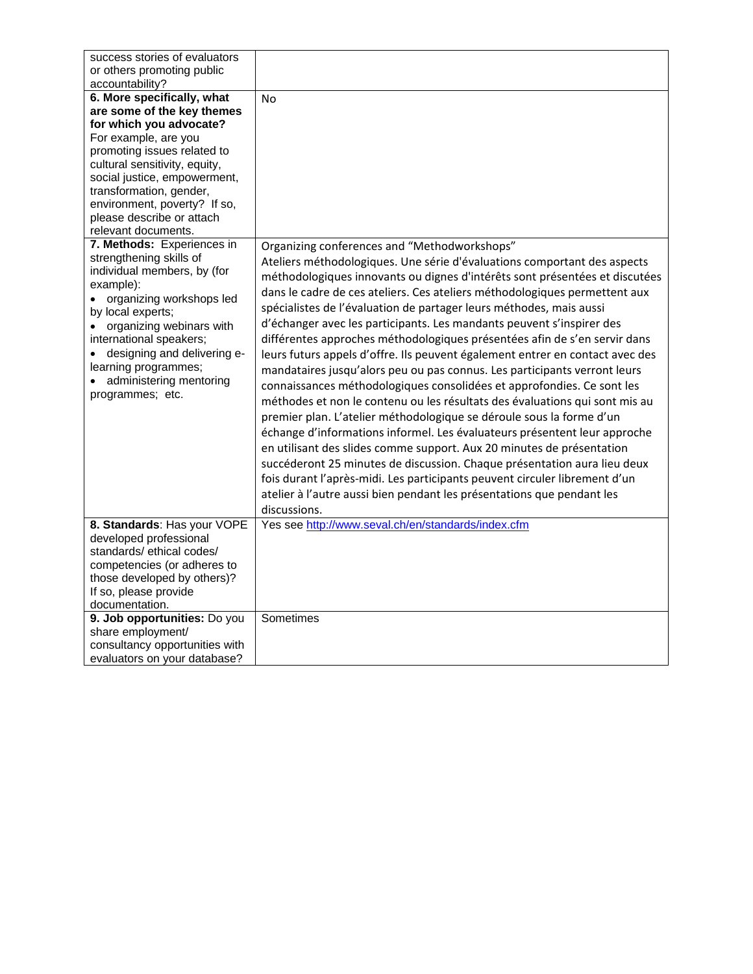| success stories of evaluators                     |                                                                               |
|---------------------------------------------------|-------------------------------------------------------------------------------|
| or others promoting public<br>accountability?     |                                                                               |
| 6. More specifically, what                        | <b>No</b>                                                                     |
| are some of the key themes                        |                                                                               |
| for which you advocate?                           |                                                                               |
| For example, are you                              |                                                                               |
| promoting issues related to                       |                                                                               |
| cultural sensitivity, equity,                     |                                                                               |
| social justice, empowerment,                      |                                                                               |
| transformation, gender,                           |                                                                               |
| environment, poverty? If so,                      |                                                                               |
| please describe or attach                         |                                                                               |
| relevant documents.<br>7. Methods: Experiences in |                                                                               |
| strengthening skills of                           | Organizing conferences and "Methodworkshops"                                  |
| individual members, by (for                       | Ateliers méthodologiques. Une série d'évaluations comportant des aspects      |
| example):                                         | méthodologiques innovants ou dignes d'intérêts sont présentées et discutées   |
| organizing workshops led                          | dans le cadre de ces ateliers. Ces ateliers méthodologiques permettent aux    |
| by local experts;                                 | spécialistes de l'évaluation de partager leurs méthodes, mais aussi           |
| organizing webinars with                          | d'échanger avec les participants. Les mandants peuvent s'inspirer des         |
| international speakers;                           | différentes approches méthodologiques présentées afin de s'en servir dans     |
| designing and delivering e-                       | leurs futurs appels d'offre. Ils peuvent également entrer en contact avec des |
| learning programmes;                              | mandataires jusqu'alors peu ou pas connus. Les participants verront leurs     |
| administering mentoring                           | connaissances méthodologiques consolidées et approfondies. Ce sont les        |
| programmes; etc.                                  | méthodes et non le contenu ou les résultats des évaluations qui sont mis au   |
|                                                   | premier plan. L'atelier méthodologique se déroule sous la forme d'un          |
|                                                   |                                                                               |
|                                                   | échange d'informations informel. Les évaluateurs présentent leur approche     |
|                                                   | en utilisant des slides comme support. Aux 20 minutes de présentation         |
|                                                   | succéderont 25 minutes de discussion. Chaque présentation aura lieu deux      |
|                                                   | fois durant l'après-midi. Les participants peuvent circuler librement d'un    |
|                                                   | atelier à l'autre aussi bien pendant les présentations que pendant les        |
|                                                   | discussions.                                                                  |
| 8. Standards: Has your VOPE                       | Yes see http://www.seval.ch/en/standards/index.cfm                            |
| developed professional                            |                                                                               |
| standards/ethical codes/                          |                                                                               |
| competencies (or adheres to                       |                                                                               |
| those developed by others)?                       |                                                                               |
| If so, please provide<br>documentation.           |                                                                               |
| 9. Job opportunities: Do you                      | Sometimes                                                                     |
| share employment/                                 |                                                                               |
| consultancy opportunities with                    |                                                                               |
| evaluators on your database?                      |                                                                               |